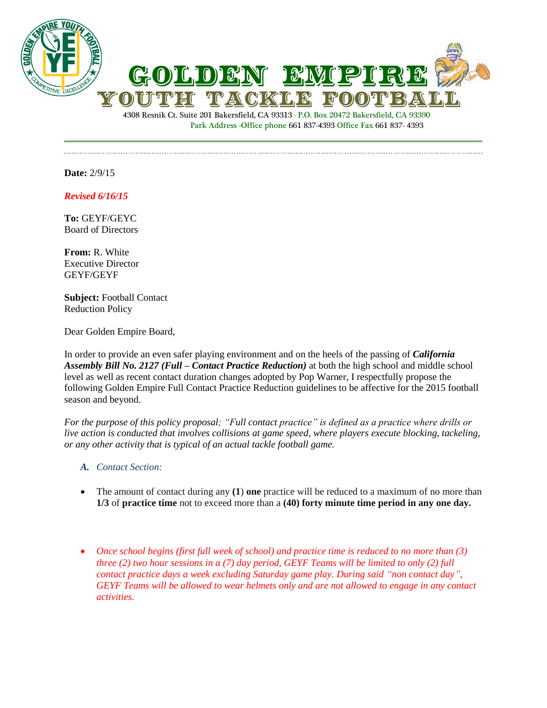



Park Address -Office phone 661 837-4393 Office Fax 661 837- 4393

**Date:** 2/9/15

*Revised 6/16/15*

**To:** GEYF/GEYC Board of Directors

**From:** R. White Executive Director GEYF/GEYF

**Subject:** Football Contact Reduction Policy

Dear Golden Empire Board,

In order to provide an even safer playing environment and on the heels of the passing of *California Assembly Bill No. 2127 (Full – Contact Practice Reduction)* at both the high school and middle school level as well as recent contact duration changes adopted by Pop Warner, I respectfully propose the following Golden Empire Full Contact Practice Reduction guidelines to be affective for the 2015 football season and beyond.

*For the purpose of this policy proposal; "Full contact practice" is defined as a practice where drills or live action is conducted that involves collisions at game speed, where players execute blocking, tackeling, or any other activity that is typical of an actual tackle football game.*

- *A. Contact Section:*
- The amount of contact during any **(1**) **one** practice will be reduced to a maximum of no more than **1/3** of **practice time** not to exceed more than a **(40) forty minute time period in any one day.**
- *Once school begins (first full week of school) and practice time is reduced to no more than (3) three (2) two hour sessions in a (7) day period, GEYF Teams will be limited to only (2) full contact practice days a week excluding Saturday game play. During said "non contact day", GEYF Teams will be allowed to wear helmets only and are not allowed to engage in any contact activities.*